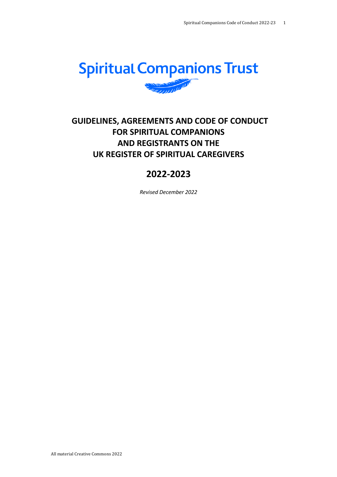

# **GUIDELINES, AGREEMENTS AND CODE OF CONDUCT FOR SPIRITUAL COMPANIONS AND REGISTRANTS ON THE UK REGISTER OF SPIRITUAL CAREGIVERS**

# **2022-2023**

*Revised December 2022*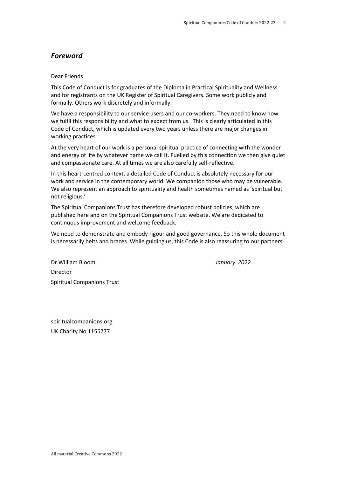## *Foreword*

#### Dear Friends

This Code of Conduct is for graduates of the Diploma in Practical Spirituality and Wellness and for registrants on the UK Register of Spiritual Caregivers. Some work publicly and formally. Others work discretely and informally.

We have a responsibility to our service users and our co-workers. They need to know how we fulfil this responsibility and what to expect from us. This is clearly articulated in this Code of Conduct, which is updated every two years unless there are major changes in working practices.

At the very heart of our work is a personal spiritual practice of connecting with the wonder and energy of life by whatever name we call it. Fuelled by this connection we then give quiet and compassionate care. At all times we are also carefully self-reflective.

In this heart-centred context, a detailed Code of Conduct is absolutely necessary for our work and service in the contemporary world. We companion those who may be vulnerable. We also represent an approach to spirituality and health sometimes named as 'spiritual but not religious.'

The Spiritual Companions Trust has therefore developed robust policies, which are published here and on the Spiritual Companions Trust website. We are dedicated to continuous improvement and welcome feedback.

We need to demonstrate and embody rigour and good governance. So this whole document is necessarily belts and braces. While guiding us, this Code is also reassuring to our partners.

Dr William Bloom *January 2022* Director Spiritual Companions Trust

spiritualcompanions.org UK Charity No 1155777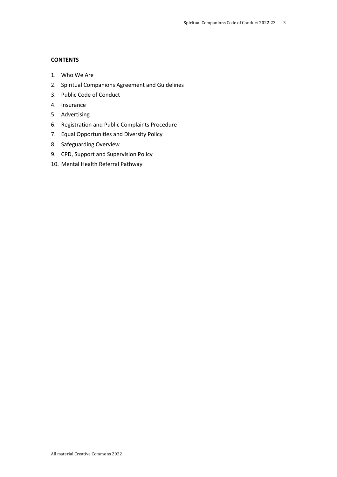#### **CONTENTS**

- 1. Who We Are
- 2. Spiritual Companions Agreement and Guidelines
- 3. Public Code of Conduct
- 4. Insurance
- 5. Advertising
- 6. Registration and Public Complaints Procedure
- 7. Equal Opportunities and Diversity Policy
- 8. Safeguarding Overview
- 9. CPD, Support and Supervision Policy
- 10. Mental Health Referral Pathway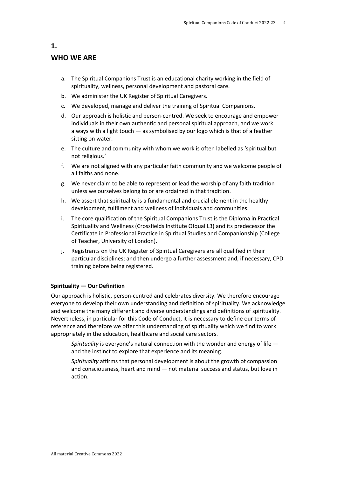# **WHO WE ARE**

- a. The Spiritual Companions Trust is an educational charity working in the field of spirituality, wellness, personal development and pastoral care.
- b. We administer the UK Register of Spiritual Caregivers.
- c. We developed, manage and deliver the training of Spiritual Companions.
- d. Our approach is holistic and person-centred. We seek to encourage and empower individuals in their own authentic and personal spiritual approach, and we work always with a light touch  $-$  as symbolised by our logo which is that of a feather sitting on water.
- e. The culture and community with whom we work is often labelled as 'spiritual but not religious.'
- f. We are not aligned with any particular faith community and we welcome people of all faiths and none.
- g. We never claim to be able to represent or lead the worship of any faith tradition unless we ourselves belong to or are ordained in that tradition.
- h. We assert that spirituality is a fundamental and crucial element in the healthy development, fulfilment and wellness of individuals and communities.
- i. The core qualification of the Spiritual Companions Trust is the Diploma in Practical Spirituality and Wellness (Crossfields Institute Ofqual L3) and its predecessor the Certificate in Professional Practice in Spiritual Studies and Companionship (College of Teacher, University of London).
- j. Registrants on the UK Register of Spiritual Caregivers are all qualified in their particular disciplines; and then undergo a further assessment and, if necessary, CPD training before being registered.

#### **Spirituality — Our Definition**

Our approach is holistic, person-centred and celebrates diversity. We therefore encourage everyone to develop their own understanding and definition of spirituality. We acknowledge and welcome the many different and diverse understandings and definitions of spirituality. Nevertheless, in particular for this Code of Conduct, it is necessary to define our terms of reference and therefore we offer this understanding of spirituality which we find to work appropriately in the education, healthcare and social care sectors.

*Spirituality* is everyone's natural connection with the wonder and energy of life and the instinct to explore that experience and its meaning.

*Spirituality* affirms that personal development is about the growth of compassion and consciousness, heart and mind — not material success and status, but love in action.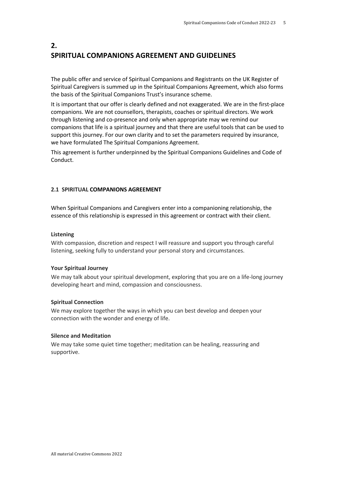## **2. SPIRITUAL COMPANIONS AGREEMENT AND GUIDELINES**

The public offer and service of Spiritual Companions and Registrants on the UK Register of Spiritual Caregivers is summed up in the Spiritual Companions Agreement, which also forms the basis of the Spiritual Companions Trust's insurance scheme.

It is important that our offer is clearly defined and not exaggerated. We are in the first-place companions. We are not counsellors, therapists, coaches or spiritual directors. We work through listening and co-presence and only when appropriate may we remind our companions that life is a spiritual journey and that there are useful tools that can be used to support this journey. For our own clarity and to set the parameters required by insurance, we have formulated The Spiritual Companions Agreement.

This agreement is further underpinned by the Spiritual Companions Guidelines and Code of Conduct.

#### **2.1 SPIRITUAL COMPANIONS AGREEMENT**

When Spiritual Companions and Caregivers enter into a companioning relationship, the essence of this relationship is expressed in this agreement or contract with their client.

#### **Listening**

With compassion, discretion and respect I will reassure and support you through careful listening, seeking fully to understand your personal story and circumstances.

#### **Your Spiritual Journey**

We may talk about your spiritual development, exploring that you are on a life-long journey developing heart and mind, compassion and consciousness.

#### **Spiritual Connection**

We may explore together the ways in which you can best develop and deepen your connection with the wonder and energy of life.

#### **Silence and Meditation**

We may take some quiet time together; meditation can be healing, reassuring and supportive.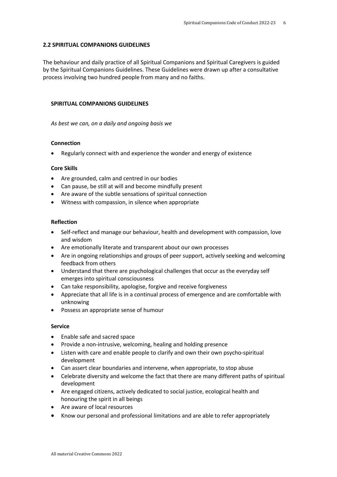#### **2.2 SPIRITUAL COMPANIONS GUIDELINES**

The behaviour and daily practice of all Spiritual Companions and Spiritual Caregivers is guided by the Spiritual Companions Guidelines. These Guidelines were drawn up after a consultative process involving two hundred people from many and no faiths.

#### **SPIRITUAL COMPANIONS GUIDELINES**

*As best we can, on a daily and ongoing basis we*

#### **Connection**

• Regularly connect with and experience the wonder and energy of existence

#### **Core Skills**

- Are grounded, calm and centred in our bodies
- Can pause, be still at will and become mindfully present
- Are aware of the subtle sensations of spiritual connection
- Witness with compassion, in silence when appropriate

#### **Reflection**

- Self-reflect and manage our behaviour, health and development with compassion, love and wisdom
- Are emotionally literate and transparent about our own processes
- Are in ongoing relationships and groups of peer support, actively seeking and welcoming feedback from others
- Understand that there are psychological challenges that occur as the everyday self emerges into spiritual consciousness
- Can take responsibility, apologise, forgive and receive forgiveness
- Appreciate that all life is in a continual process of emergence and are comfortable with unknowing
- Possess an appropriate sense of humour

#### **Service**

- Enable safe and sacred space
- Provide a non-intrusive, welcoming, healing and holding presence
- Listen with care and enable people to clarify and own their own psycho-spiritual development
- Can assert clear boundaries and intervene, when appropriate, to stop abuse
- Celebrate diversity and welcome the fact that there are many different paths of spiritual development
- Are engaged citizens, actively dedicated to social justice, ecological health and honouring the spirit in all beings
- Are aware of local resources
- Know our personal and professional limitations and are able to refer appropriately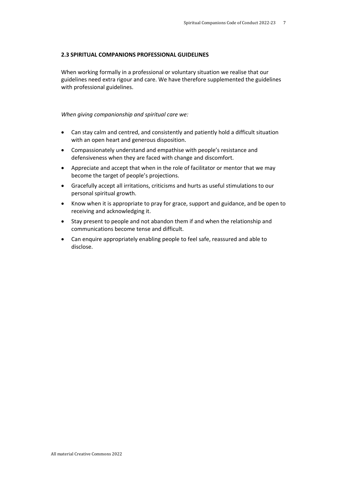#### **2.3 SPIRITUAL COMPANIONS PROFESSIONAL GUIDELINES**

When working formally in a professional or voluntary situation we realise that our guidelines need extra rigour and care. We have therefore supplemented the guidelines with professional guidelines.

#### *When giving companionship and spiritual care we:*

- Can stay calm and centred, and consistently and patiently hold a difficult situation with an open heart and generous disposition.
- Compassionately understand and empathise with people's resistance and defensiveness when they are faced with change and discomfort.
- Appreciate and accept that when in the role of facilitator or mentor that we may become the target of people's projections.
- Gracefully accept all irritations, criticisms and hurts as useful stimulations to our personal spiritual growth.
- Know when it is appropriate to pray for grace, support and guidance, and be open to receiving and acknowledging it.
- Stay present to people and not abandon them if and when the relationship and communications become tense and difficult.
- Can enquire appropriately enabling people to feel safe, reassured and able to disclose.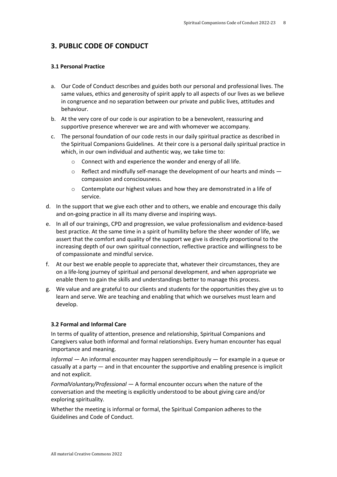## **3. PUBLIC CODE OF CONDUCT**

#### **3.1 Personal Practice**

- a. Our Code of Conduct describes and guides both our personal and professional lives. The same values, ethics and generosity of spirit apply to all aspects of our lives as we believe in congruence and no separation between our private and public lives, attitudes and behaviour.
- b. At the very core of our code is our aspiration to be a benevolent, reassuring and supportive presence wherever we are and with whomever we accompany.
- c. The personal foundation of our code rests in our daily spiritual practice as described in the Spiritual Companions Guidelines. At their core is a personal daily spiritual practice in which, in our own individual and authentic way, we take time to:
	- o Connect with and experience the wonder and energy of all life.
	- $\circ$  Reflect and mindfully self-manage the development of our hearts and minds  $$ compassion and consciousness.
	- o Contemplate our highest values and how they are demonstrated in a life of service.
- d. In the support that we give each other and to others, we enable and encourage this daily and on-going practice in all its many diverse and inspiring ways.
- e. In all of our trainings, CPD and progression, we value professionalism and evidence-based best practice. At the same time in a spirit of humility before the sheer wonder of life, we assert that the comfort and quality of the support we give is directly proportional to the increasing depth of our own spiritual connection, reflective practice and willingness to be of compassionate and mindful service.
- f. At our best we enable people to appreciate that, whatever their circumstances, they are on a life-long journey of spiritual and personal development, and when appropriate we enable them to gain the skills and understandings better to manage this process.
- g. We value and are grateful to our clients and students for the opportunities they give us to learn and serve. We are teaching and enabling that which we ourselves must learn and develop.

#### **3.2 Formal and Informal Care**

In terms of quality of attention, presence and relationship, Spiritual Companions and Caregivers value both informal and formal relationships. Every human encounter has equal importance and meaning.

*Informal —* An informal encounter may happen serendipitously — for example in a queue or casually at a party — and in that encounter the supportive and enabling presence is implicit and not explicit.

*FormalVoluntary/Professional —* A formal encounter occurs when the nature of the conversation and the meeting is explicitly understood to be about giving care and/or exploring spirituality.

Whether the meeting is informal or formal, the Spiritual Companion adheres to the Guidelines and Code of Conduct.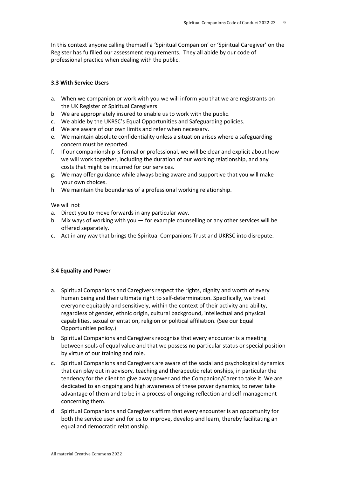In this context anyone calling themself a 'Spiritual Companion' or 'Spiritual Caregiver' on the Register has fulfilled our assessment requirements. They all abide by our code of professional practice when dealing with the public.

#### **3.3 With Service Users**

- a. When we companion or work with you we will inform you that we are registrants on the UK Register of Spiritual Caregivers
- b. We are appropriately insured to enable us to work with the public.
- c. We abide by the UKRSC's Equal Opportunities and Safeguarding policies.
- d. We are aware of our own limits and refer when necessary.
- e. We maintain absolute confidentiality unless a situation arises where a safeguarding concern must be reported.
- f. If our companionship is formal or professional, we will be clear and explicit about how we will work together, including the duration of our working relationship, and any costs that might be incurred for our services.
- g. We may offer guidance while always being aware and supportive that you will make your own choices.
- h. We maintain the boundaries of a professional working relationship.

We will not

- a. Direct you to move forwards in any particular way.
- b. Mix ways of working with you for example counselling or any other services will be offered separately.
- c. Act in any way that brings the Spiritual Companions Trust and UKRSC into disrepute.

#### **3.4 Equality and Power**

- a. Spiritual Companions and Caregivers respect the rights, dignity and worth of every human being and their ultimate right to self-determination. Specifically, we treat everyone equitably and sensitively, within the context of their activity and ability, regardless of gender, ethnic origin, cultural background, intellectual and physical capabilities, sexual orientation, religion or political affiliation. (See our Equal Opportunities policy.)
- b. Spiritual Companions and Caregivers recognise that every encounter is a meeting between souls of equal value and that we possess no particular status or special position by virtue of our training and role.
- c. Spiritual Companions and Caregivers are aware of the social and psychological dynamics that can play out in advisory, teaching and therapeutic relationships, in particular the tendency for the client to give away power and the Companion/Carer to take it. We are dedicated to an ongoing and high awareness of these power dynamics, to never take advantage of them and to be in a process of ongoing reflection and self-management concerning them.
- d. Spiritual Companions and Caregivers affirm that every encounter is an opportunity for both the service user and for us to improve, develop and learn, thereby facilitating an equal and democratic relationship.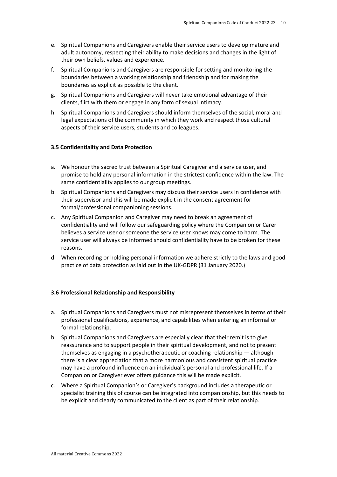- e. Spiritual Companions and Caregivers enable their service users to develop mature and adult autonomy, respecting their ability to make decisions and changes in the light of their own beliefs, values and experience.
- f. Spiritual Companions and Caregivers are responsible for setting and monitoring the boundaries between a working relationship and friendship and for making the boundaries as explicit as possible to the client.
- g. Spiritual Companions and Caregivers will never take emotional advantage of their clients, flirt with them or engage in any form of sexual intimacy.
- h. Spiritual Companions and Caregivers should inform themselves of the social, moral and legal expectations of the community in which they work and respect those cultural aspects of their service users, students and colleagues.

#### **3.5 Confidentiality and Data Protection**

- a. We honour the sacred trust between a Spiritual Caregiver and a service user, and promise to hold any personal information in the strictest confidence within the law. The same confidentiality applies to our group meetings.
- b. Spiritual Companions and Caregivers may discuss their service users in confidence with their supervisor and this will be made explicit in the consent agreement for formal/professional companioning sessions.
- c. Any Spiritual Companion and Caregiver may need to break an agreement of confidentiality and will follow our safeguarding policy where the Companion or Carer believes a service user or someone the service user knows may come to harm. The service user will always be informed should confidentiality have to be broken for these reasons.
- d. When recording or holding personal information we adhere strictly to the laws and good practice of data protection as laid out in the UK-GDPR (31 January 2020.)

#### **3.6 Professional Relationship and Responsibility**

- a. Spiritual Companions and Caregivers must not misrepresent themselves in terms of their professional qualifications, experience, and capabilities when entering an informal or formal relationship.
- b. Spiritual Companions and Caregivers are especially clear that their remit is to give reassurance and to support people in their spiritual development, and not to present themselves as engaging in a psychotherapeutic or coaching relationship — although there is a clear appreciation that a more harmonious and consistent spiritual practice may have a profound influence on an individual's personal and professional life. If a Companion or Caregiver ever offers guidance this will be made explicit.
- c. Where a Spiritual Companion's or Caregiver's background includes a therapeutic or specialist training this of course can be integrated into companionship, but this needs to be explicit and clearly communicated to the client as part of their relationship.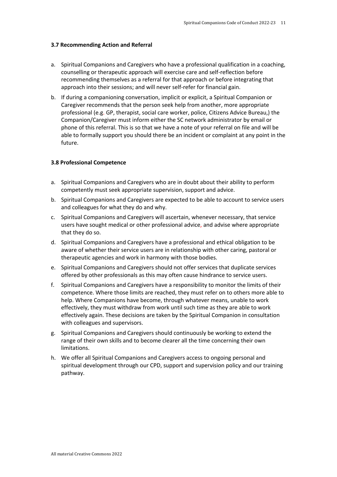#### **3.7 Recommending Action and Referral**

- a. Spiritual Companions and Caregivers who have a professional qualification in a coaching, counselling or therapeutic approach will exercise care and self-reflection before recommending themselves as a referral for that approach or before integrating that approach into their sessions; and will never self-refer for financial gain.
- b. If during a companioning conversation, implicit or explicit, a Spiritual Companion or Caregiver recommends that the person seek help from another, more appropriate professional (e.g. GP, therapist, social care worker, police, Citizens Advice Bureau,) the Companion/Caregiver must inform either the SC network administrator by email or phone of this referral. This is so that we have a note of your referral on file and will be able to formally support you should there be an incident or complaint at any point in the future.

#### **3.8 Professional Competence**

- a. Spiritual Companions and Caregivers who are in doubt about their ability to perform competently must seek appropriate supervision, support and advice.
- b. Spiritual Companions and Caregivers are expected to be able to account to service users and colleagues for what they do and why.
- c. Spiritual Companions and Caregivers will ascertain, whenever necessary, that service users have sought medical or other professional advice, and advise where appropriate that they do so.
- d. Spiritual Companions and Caregivers have a professional and ethical obligation to be aware of whether their service users are in relationship with other caring, pastoral or therapeutic agencies and work in harmony with those bodies.
- e. Spiritual Companions and Caregivers should not offer services that duplicate services offered by other professionals as this may often cause hindrance to service users.
- f. Spiritual Companions and Caregivers have a responsibility to monitor the limits of their competence. Where those limits are reached, they must refer on to others more able to help. Where Companions have become, through whatever means, unable to work effectively, they must withdraw from work until such time as they are able to work effectively again. These decisions are taken by the Spiritual Companion in consultation with colleagues and supervisors.
- g. Spiritual Companions and Caregivers should continuously be working to extend the range of their own skills and to become clearer all the time concerning their own limitations.
- h. We offer all Spiritual Companions and Caregivers access to ongoing personal and spiritual development through our CPD, support and supervision policy and our training pathway.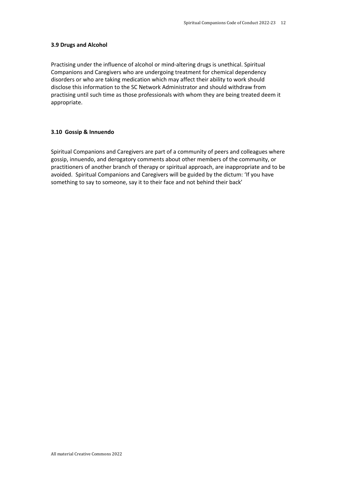#### **3.9 Drugs and Alcohol**

Practising under the influence of alcohol or mind-altering drugs is unethical. Spiritual Companions and Caregivers who are undergoing treatment for chemical dependency disorders or who are taking medication which may affect their ability to work should disclose this information to the SC Network Administrator and should withdraw from practising until such time as those professionals with whom they are being treated deem it appropriate.

#### **3.10 Gossip & Innuendo**

Spiritual Companions and Caregivers are part of a community of peers and colleagues where gossip, innuendo, and derogatory comments about other members of the community, or practitioners of another branch of therapy or spiritual approach, are inappropriate and to be avoided. Spiritual Companions and Caregivers will be guided by the dictum: 'If you have something to say to someone, say it to their face and not behind their back'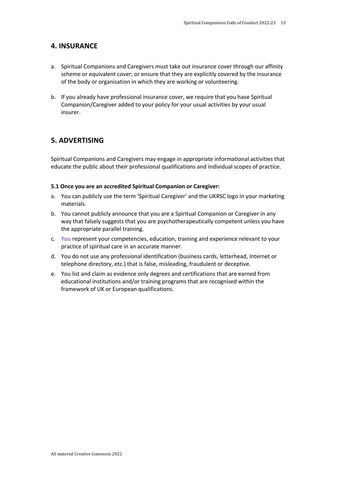#### **4. INSURANCE**

- a. Spiritual Companions and Caregivers must take out insurance cover through our affinity scheme or equivalent cover; or ensure that they are explicitly covered by the insurance of the body or organisation in which they are working or volunteering.
- b. If you already have professional insurance cover, we require that you have Spiritual Companion/Caregiver added to your policy for your usual activities by your usual insurer.

### **5. ADVERTISING**

Spiritual Companions and Caregivers may engage in appropriate informational activities that educate the public about their professional qualifications and individual scopes of practice.

#### **5.1 Once you are an accredited Spiritual Companion or Caregiver:**

- a. You can publicly use the term 'Spiritual Caregiver' and the UKRSC logo in your marketing materials.
- b. You cannot publicly announce that you are a Spiritual Companion or Caregiver in any way that falsely suggests that you are psychotherapeutically competent unless you have the appropriate parallel training.
- c. You represent your competencies, education, training and experience relevant to your practice of spiritual care in an accurate manner.
- d. You do not use any professional identification (business cards, letterhead, Internet or telephone directory, etc.) that is false, misleading, fraudulent or deceptive.
- e. You list and claim as evidence only degrees and certifications that are earned from educational institutions and/or training programs that are recognised within the framework of UK or European qualifications.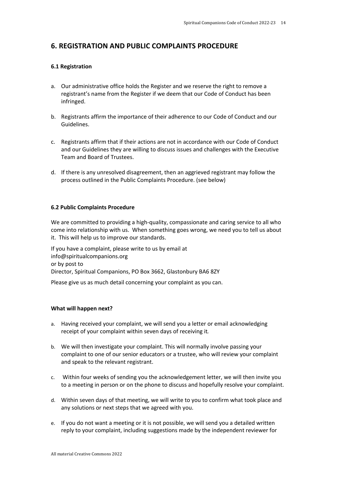## **6. REGISTRATION AND PUBLIC COMPLAINTS PROCEDURE**

#### **6.1 Registration**

- a. Our administrative office holds the Register and we reserve the right to remove a registrant's name from the Register if we deem that our Code of Conduct has been infringed.
- b. Registrants affirm the importance of their adherence to our Code of Conduct and our Guidelines.
- c. Registrants affirm that if their actions are not in accordance with our Code of Conduct and our Guidelines they are willing to discuss issues and challenges with the Executive Team and Board of Trustees.
- d. If there is any unresolved disagreement, then an aggrieved registrant may follow the process outlined in the Public Complaints Procedure. (see below)

#### **6.2 Public Complaints Procedure**

We are committed to providing a high-quality, compassionate and caring service to all who come into relationship with us. When something goes wrong, we need you to tell us about it. This will help us to improve our standards.

If you have a complaint, please write to us by email at info@spiritualcompanions.org or by post to Director, Spiritual Companions, PO Box 3662, Glastonbury BA6 8ZY

Please give us as much detail concerning your complaint as you can.

#### **What will happen next?**

- a. Having received your complaint, we will send you a letter or email acknowledging receipt of your complaint within seven days of receiving it*.*
- b. We will then investigate your complaint. This will normally involve passing your complaint to one of our senior educators or a trustee, who will review your complaint and speak to the relevant registrant.
- c. Within four weeks of sending you the acknowledgement letter, we will then invite you to a meeting in person or on the phone to discuss and hopefully resolve your complaint.
- d. Within seven days of that meeting, we will write to you to confirm what took place and any solutions or next steps that we agreed with you.
- e. If you do not want a meeting or it is not possible, we will send you a detailed written reply to your complaint, including suggestions made by the independent reviewer for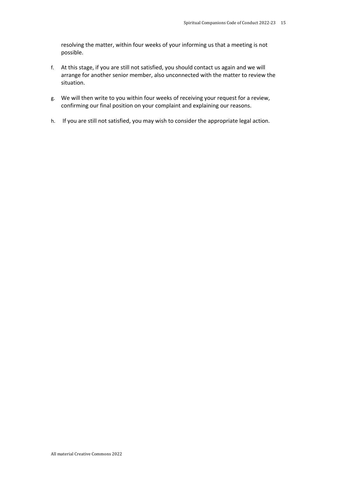resolving the matter, within four weeks of your informing us that a meeting is not possible.

- f. At this stage, if you are still not satisfied, you should contact us again and we will arrange for another senior member, also unconnected with the matter to review the situation.
- g. We will then write to you within four weeks of receiving your request for a review, confirming our final position on your complaint and explaining our reasons.
- h. If you are still not satisfied, you may wish to consider the appropriate legal action.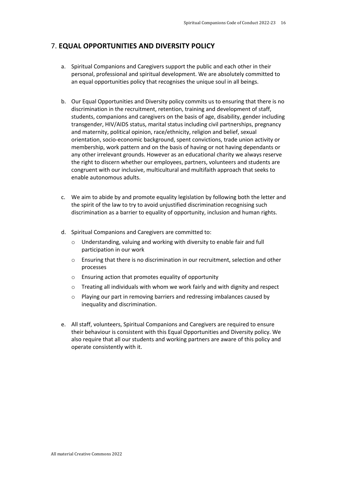## 7. **EQUAL OPPORTUNITIES AND DIVERSITY POLICY**

- a. Spiritual Companions and Caregivers support the public and each other in their personal, professional and spiritual development. We are absolutely committed to an equal opportunities policy that recognises the unique soul in all beings.
- b. Our Equal Opportunities and Diversity policy commits us to ensuring that there is no discrimination in the recruitment, retention, training and development of staff, students, companions and caregivers on the basis of age, disability, gender including transgender, HIV/AIDS status, marital status including civil partnerships, pregnancy and maternity, political opinion, race/ethnicity, religion and belief, sexual orientation, socio-economic background, spent convictions, trade union activity or membership, work pattern and on the basis of having or not having dependants or any other irrelevant grounds. However as an educational charity we always reserve the right to discern whether our employees, partners, volunteers and students are congruent with our inclusive, multicultural and multifaith approach that seeks to enable autonomous adults.
- c. We aim to abide by and promote equality legislation by following both the letter and the spirit of the law to try to avoid unjustified discrimination recognising such discrimination as a barrier to equality of opportunity, inclusion and human rights.
- d. Spiritual Companions and Caregivers are committed to:
	- o Understanding, valuing and working with diversity to enable fair and full participation in our work
	- o Ensuring that there is no discrimination in our recruitment, selection and other processes
	- o Ensuring action that promotes equality of opportunity
	- o Treating all individuals with whom we work fairly and with dignity and respect
	- o Playing our part in removing barriers and redressing imbalances caused by inequality and discrimination.
- e. All staff, volunteers, Spiritual Companions and Caregivers are required to ensure their behaviour is consistent with this Equal Opportunities and Diversity policy. We also require that all our students and working partners are aware of this policy and operate consistently with it.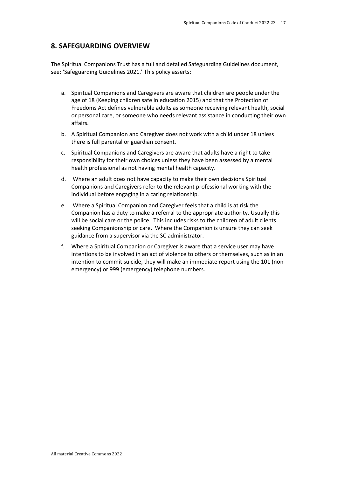## **8. SAFEGUARDING OVERVIEW**

The Spiritual Companions Trust has a full and detailed Safeguarding Guidelines document, see: 'Safeguarding Guidelines 2021.' This policy asserts:

- a. Spiritual Companions and Caregivers are aware that children are people under the age of 18 (Keeping children safe in education 2015) and that the Protection of Freedoms Act defines vulnerable adults as someone receiving relevant health, social or personal care, or someone who needs relevant assistance in conducting their own affairs.
- b. A Spiritual Companion and Caregiver does not work with a child under 18 unless there is full parental or guardian consent.
- c. Spiritual Companions and Caregivers are aware that adults have a right to take responsibility for their own choices unless they have been assessed by a mental health professional as not having mental health capacity.
- d. Where an adult does not have capacity to make their own decisions Spiritual Companions and Caregivers refer to the relevant professional working with the individual before engaging in a caring relationship.
- e. Where a Spiritual Companion and Caregiver feels that a child is at risk the Companion has a duty to make a referral to the appropriate authority. Usually this will be social care or the police. This includes risks to the children of adult clients seeking Companionship or care. Where the Companion is unsure they can seek guidance from a supervisor via the SC administrator.
- f. Where a Spiritual Companion or Caregiver is aware that a service user may have intentions to be involved in an act of violence to others or themselves, such as in an intention to commit suicide, they will make an immediate report using the 101 (nonemergency) or 999 (emergency) telephone numbers.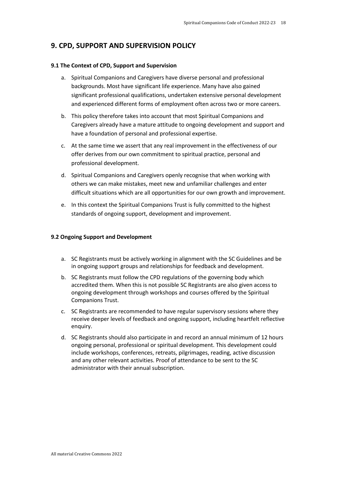## **9. CPD, SUPPORT AND SUPERVISION POLICY**

#### **9.1 The Context of CPD, Support and Supervision**

- a. Spiritual Companions and Caregivers have diverse personal and professional backgrounds. Most have significant life experience. Many have also gained significant professional qualifications, undertaken extensive personal development and experienced different forms of employment often across two or more careers.
- b. This policy therefore takes into account that most Spiritual Companions and Caregivers already have a mature attitude to ongoing development and support and have a foundation of personal and professional expertise.
- c. At the same time we assert that any real improvement in the effectiveness of our offer derives from our own commitment to spiritual practice, personal and professional development.
- d. Spiritual Companions and Caregivers openly recognise that when working with others we can make mistakes, meet new and unfamiliar challenges and enter difficult situations which are all opportunities for our own growth and improvement.
- e. In this context the Spiritual Companions Trust is fully committed to the highest standards of ongoing support, development and improvement.

#### **9.2 Ongoing Support and Development**

- a. SC Registrants must be actively working in alignment with the SC Guidelines and be in ongoing support groups and relationships for feedback and development.
- b. SC Registrants must follow the CPD regulations of the governing body which accredited them. When this is not possible SC Registrants are also given access to ongoing development through workshops and courses offered by the Spiritual Companions Trust.
- c. SC Registrants are recommended to have regular supervisory sessions where they receive deeper levels of feedback and ongoing support, including heartfelt reflective enquiry.
- d. SC Registrants should also participate in and record an annual minimum of 12 hours ongoing personal, professional or spiritual development. This development could include workshops, conferences, retreats, pilgrimages, reading, active discussion and any other relevant activities. Proof of attendance to be sent to the SC administrator with their annual subscription.